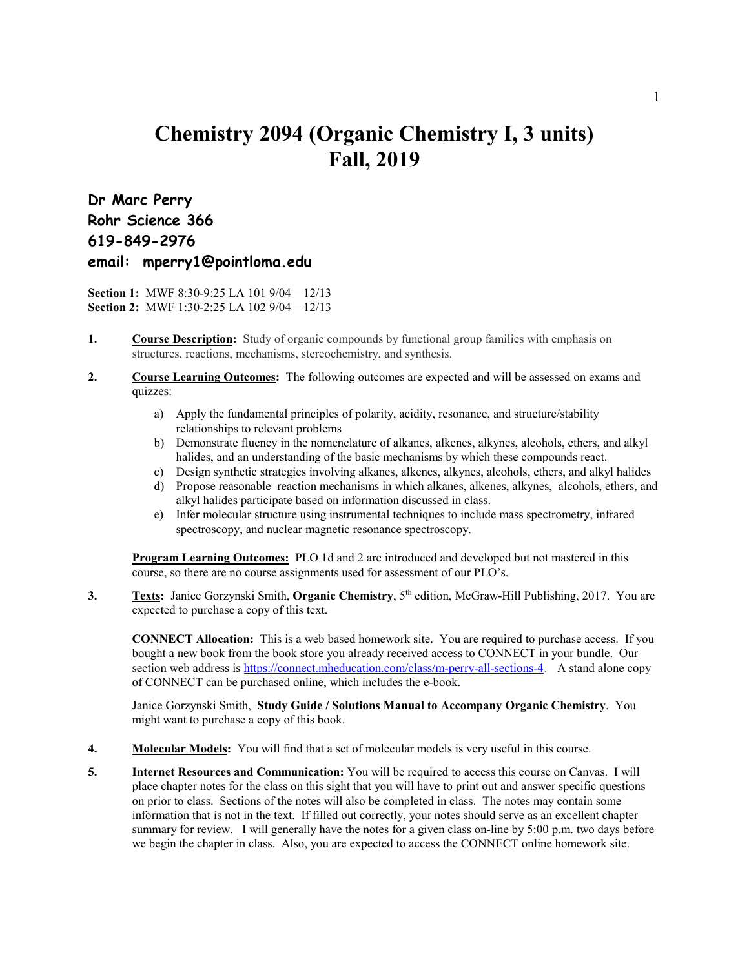## **Chemistry 2094 (Organic Chemistry I, 3 units) Fall, 2019**

**Dr Marc Perry Rohr Science 366 619-849-2976 email: mperry1@pointloma.edu**

**Section 1:** MWF 8:30-9:25 LA 101 9/04 – 12/13 **Section 2:** MWF 1:30-2:25 LA 102 9/04 – 12/13

- **1. Course Description:** Study of organic compounds by functional group families with emphasis on structures, reactions, mechanisms, stereochemistry, and synthesis.
- **2. Course Learning Outcomes:** The following outcomes are expected and will be assessed on exams and quizzes:
	- a) Apply the fundamental principles of polarity, acidity, resonance, and structure/stability relationships to relevant problems
	- b) Demonstrate fluency in the nomenclature of alkanes, alkenes, alkynes, alcohols, ethers, and alkyl halides, and an understanding of the basic mechanisms by which these compounds react.
	- c) Design synthetic strategies involving alkanes, alkenes, alkynes, alcohols, ethers, and alkyl halides
	- d) Propose reasonable reaction mechanisms in which alkanes, alkenes, alkynes, alcohols, ethers, and alkyl halides participate based on information discussed in class.
	- e) Infer molecular structure using instrumental techniques to include mass spectrometry, infrared spectroscopy, and nuclear magnetic resonance spectroscopy.

**Program Learning Outcomes:** PLO 1d and 2 are introduced and developed but not mastered in this course, so there are no course assignments used for assessment of our PLO's.<br>3. **Texts:** Janice Gorzynski Smith. **Organic Chemistry**. 5<sup>th</sup> edition. McGraw-H

Texts: Janice Gorzynski Smith, Organic Chemistry, 5<sup>th</sup> edition, McGraw-Hill Publishing, 2017. You are expected to purchase a copy of this text.

**CONNECT Allocation:** This is a web based homework site. You are required to purchase access. If you bought a new book from the book store you already received access to CONNECT in your bundle. Our section web address is <https://connect.mheducation.com/class/m-perry-all-sections-4>. A stand alone copy of CONNECT can be purchased online, which includes the e-book.

Janice Gorzynski Smith, **Study Guide / Solutions Manual to Accompany Organic Chemistry**. You might want to purchase a copy of this book.

- **4. Molecular Models:** You will find that a set of molecular models is very useful in this course.
- **5. Internet Resources and Communication:** You will be required to access this course on Canvas. I will place chapter notes for the class on this sight that you will have to print out and answer specific questions on prior to class. Sections of the notes will also be completed in class. The notes may contain some information that is not in the text. If filled out correctly, your notes should serve as an excellent chapter summary for review. I will generally have the notes for a given class on-line by 5:00 p.m. two days before we begin the chapter in class. Also, you are expected to access the CONNECT online homework site.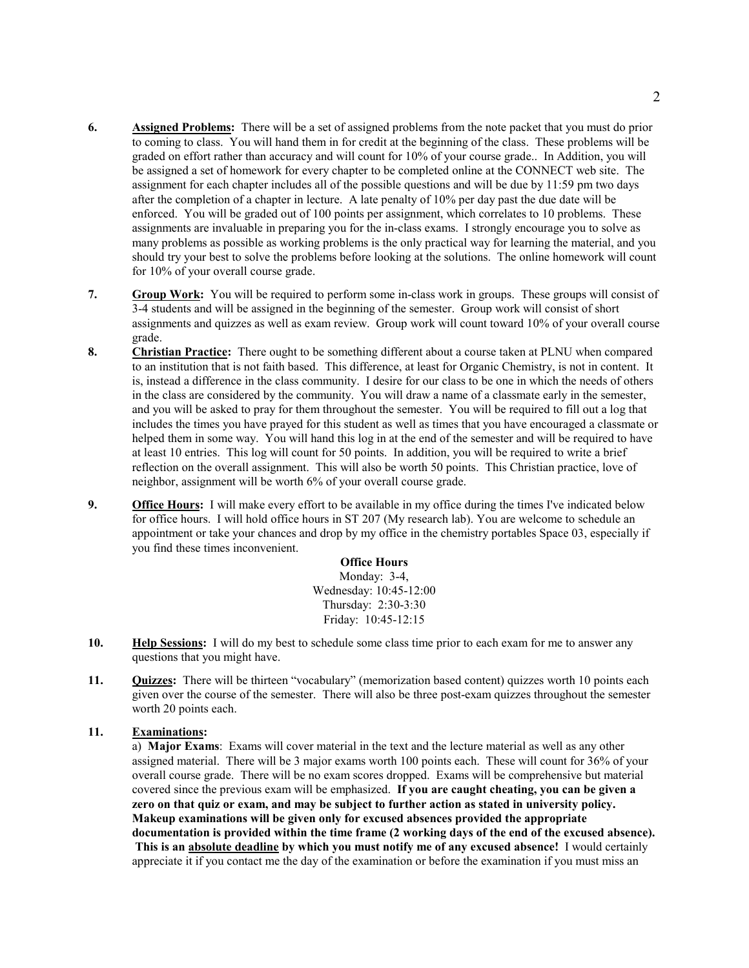- **6. Assigned Problems:** There will be a set of assigned problems from the note packet that you must do prior to coming to class. You will hand them in for credit at the beginning of the class. These problems will be graded on effort rather than accuracy and will count for 10% of your course grade.. In Addition, you will be assigned a set of homework for every chapter to be completed online at the CONNECT web site. The assignment for each chapter includes all of the possible questions and will be due by 11:59 pm two days after the completion of a chapter in lecture. A late penalty of 10% per day past the due date will be enforced. You will be graded out of 100 points per assignment, which correlates to 10 problems. These assignments are invaluable in preparing you for the in-class exams. I strongly encourage you to solve as many problems as possible as working problems is the only practical way for learning the material, and you should try your best to solve the problems before looking at the solutions. The online homework will count for 10% of your overall course grade.
- **7. Group Work:** You will be required to perform some in-class work in groups. These groups will consist of 3-4 students and will be assigned in the beginning of the semester. Group work will consist of short assignments and quizzes as well as exam review. Group work will count toward 10% of your overall course grade.
- **8. Christian Practice:** There ought to be something different about a course taken at PLNU when compared to an institution that is not faith based. This difference, at least for Organic Chemistry, is not in content. It is, instead a difference in the class community. I desire for our class to be one in which the needs of others in the class are considered by the community. You will draw a name of a classmate early in the semester, and you will be asked to pray for them throughout the semester. You will be required to fill out a log that includes the times you have prayed for this student as well as times that you have encouraged a classmate or helped them in some way. You will hand this log in at the end of the semester and will be required to have at least 10 entries. This log will count for 50 points. In addition, you will be required to write a brief reflection on the overall assignment. This will also be worth 50 points. This Christian practice, love of neighbor, assignment will be worth 6% of your overall course grade.
- **9. Office Hours:** I will make every effort to be available in my office during the times I've indicated below for office hours. I will hold office hours in ST 207 (My research lab). You are welcome to schedule an appointment or take your chances and drop by my office in the chemistry portables Space 03, especially if you find these times inconvenient.

**Office Hours** Monday: 3-4, Wednesday: 10:45-12:00 Thursday: 2:30-3:30 Friday: 10:45-12:15

- **10. Help Sessions:** I will do my best to schedule some class time prior to each exam for me to answer any questions that you might have.
- **11. Quizzes:** There will be thirteen "vocabulary" (memorization based content) quizzes worth 10 points each given over the course of the semester. There will also be three post-exam quizzes throughout the semester worth 20 points each.

## **11. Examinations:**

a) **Major Exams**: Exams will cover material in the text and the lecture material as well as any other assigned material. There will be 3 major exams worth 100 points each. These will count for 36% of your overall course grade. There will be no exam scores dropped. Exams will be comprehensive but material covered since the previous exam will be emphasized. **If you are caught cheating, you can be given a zero on that quiz or exam, and may be subject to further action as stated in university policy. Makeup examinations will be given only for excused absences provided the appropriate documentation is provided within the time frame (2 working days of the end of the excused absence). This is an absolute deadline by which you must notify me of any excused absence!** I would certainly appreciate it if you contact me the day of the examination or before the examination if you must miss an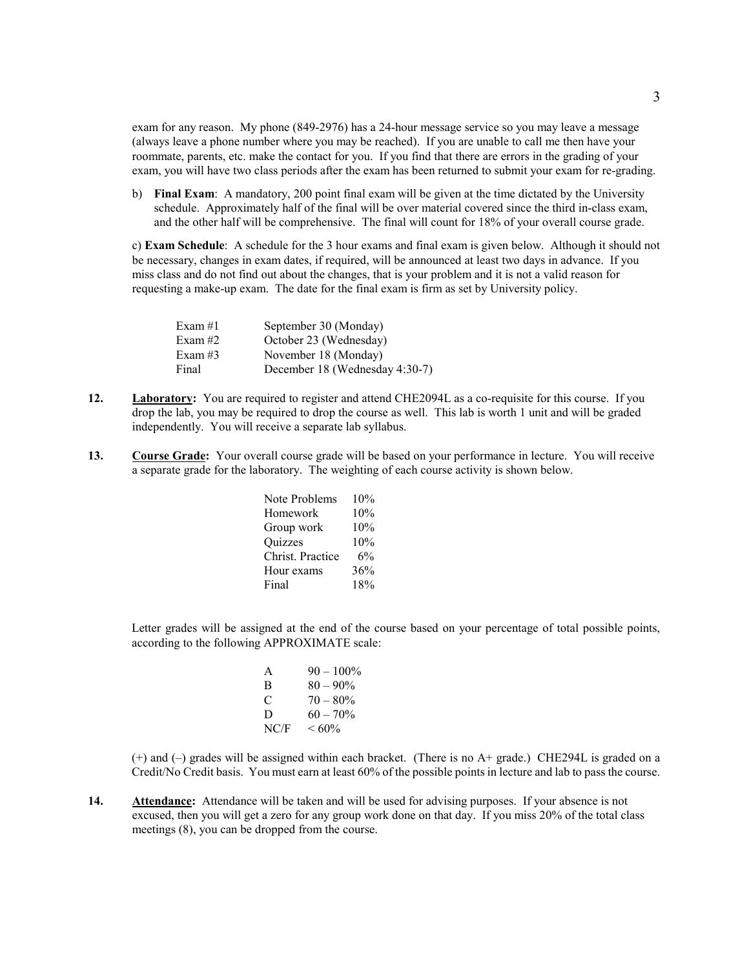exam for any reason. My phone (849-2976) has a 24-hour message service so you may leave a message (always leave a phone number where you may be reached). If you are unable to call me then have your roommate, parents, etc. make the contact for you. If you find that there are errors in the grading of your exam, you will have two class periods after the exam has been returned to submit your exam for re-grading.

b) **Final Exam**: A mandatory, 200 point final exam will be given at the time dictated by the University schedule. Approximately half of the final will be over material covered since the third in-class exam, and the other half will be comprehensive. The final will count for 18% of your overall course grade.

c) **Exam Schedule**: A schedule for the 3 hour exams and final exam is given below. Although it should not be necessary, changes in exam dates, if required, will be announced at least two days in advance. If you miss class and do not find out about the changes, that is your problem and it is not a valid reason for requesting a make-up exam. The date for the final exam is firm as set by University policy.

| Exam $#1$ | September 30 (Monday)          |
|-----------|--------------------------------|
| Exam $#2$ | October 23 (Wednesday)         |
| Exam #3   | November 18 (Monday)           |
| Final     | December 18 (Wednesday 4:30-7) |
|           |                                |

- **12. Laboratory:** You are required to register and attend CHE2094L as a co-requisite for this course. If you drop the lab, you may be required to drop the course as well. This lab is worth 1 unit and will be graded independently. You will receive a separate lab syllabus.
- **13. Course Grade:** Your overall course grade will be based on your performance in lecture. You will receive a separate grade for the laboratory. The weighting of each course activity is shown below.

| 10% |
|-----|
| 10% |
| 10% |
| 10% |
| 6%  |
| 36% |
| 18% |
|     |

Letter grades will be assigned at the end of the course based on your percentage of total possible points, according to the following APPROXIMATE scale:

| A    | $90 - 100\%$ |
|------|--------------|
| В    | $80 - 90\%$  |
| C    | $70 - 80\%$  |
| D    | $60 - 70\%$  |
| NC/F | $<60\%$      |

(+) and (–) grades will be assigned within each bracket. (There is no A+ grade.) CHE294L is graded on a Credit/No Credit basis. You must earn at least 60% of the possible points in lecture and lab to pass the course.

**14. Attendance:** Attendance will be taken and will be used for advising purposes. If your absence is not excused, then you will get a zero for any group work done on that day. If you miss 20% of the total class meetings (8), you can be dropped from the course.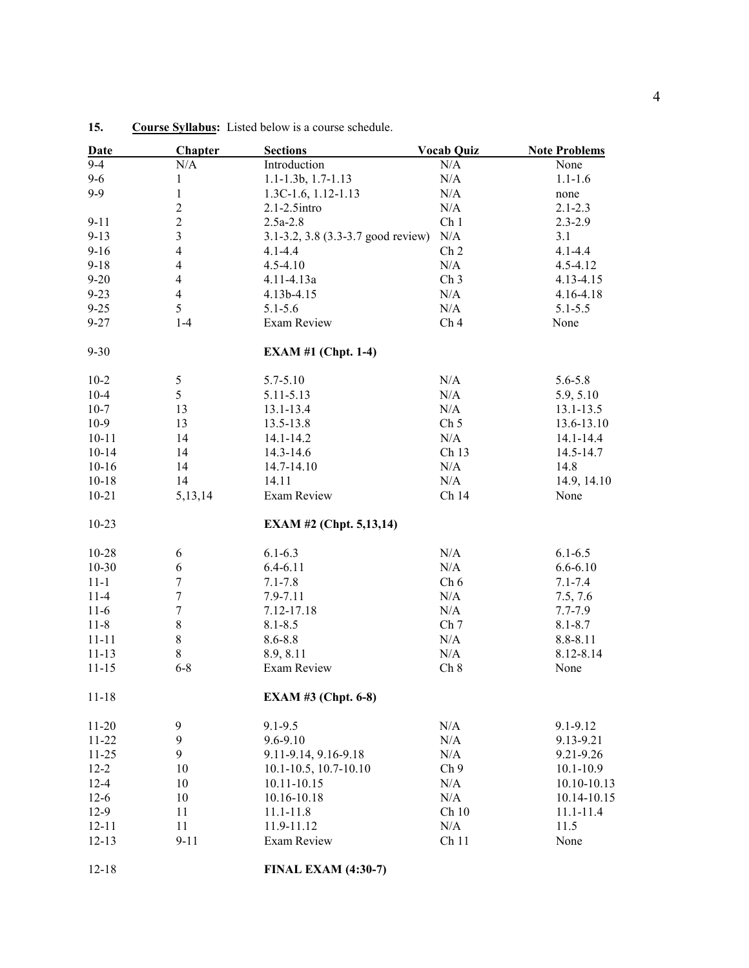| <b>Date</b> | <b>Chapter</b>          | <b>Sections</b>                    | <b>Vocab Quiz</b> | <b>Note Problems</b> |
|-------------|-------------------------|------------------------------------|-------------------|----------------------|
| $9 - 4$     | N/A                     | Introduction                       | N/A               | None                 |
| $9 - 6$     | 1                       | 1.1-1.3b, 1.7-1.13                 | $\rm N/A$         | $1.1 - 1.6$          |
| $9 - 9$     | $\mathbf{1}$            | 1.3C-1.6, 1.12-1.13                | N/A               | none                 |
|             | $\overline{c}$          | 2.1-2.5intro                       | N/A               | $2.1 - 2.3$          |
| $9 - 11$    | $\overline{2}$          | $2.5a-2.8$                         | Ch <sub>1</sub>   | $2.3 - 2.9$          |
| $9 - 13$    | $\overline{3}$          | 3.1-3.2, 3.8 (3.3-3.7 good review) | $\rm N/A$         | 3.1                  |
| $9-16$      | $\overline{\mathbf{4}}$ | $4.1 - 4.4$                        | Ch <sub>2</sub>   | $4.1 - 4.4$          |
| $9 - 18$    | $\overline{\mathbf{4}}$ | $4.5 - 4.10$                       | N/A               | 4.5-4.12             |
| $9 - 20$    | $\overline{\mathbf{4}}$ | 4.11-4.13a                         | Ch <sub>3</sub>   | 4.13-4.15            |
| $9 - 23$    | $\overline{4}$          | 4.13b-4.15                         | N/A               | 4.16-4.18            |
| $9 - 25$    | 5                       | $5.1 - 5.6$                        | N/A               | $5.1 - 5.5$          |
| $9 - 27$    | $1 - 4$                 | Exam Review                        | Ch <sub>4</sub>   | None                 |
| $9 - 30$    |                         | <b>EXAM #1 (Chpt. 1-4)</b>         |                   |                      |
| $10 - 2$    | 5                       | 5.7-5.10                           | N/A               | 5.6-5.8              |
| $10 - 4$    | 5                       | 5.11-5.13                          | N/A               | 5.9, 5.10            |
| $10-7$      | 13                      | 13.1-13.4                          | N/A               | 13.1-13.5            |
| $10-9$      | 13                      | 13.5-13.8                          | Ch <sub>5</sub>   | 13.6-13.10           |
| $10 - 11$   | 14                      | 14.1-14.2                          | N/A               | 14.1-14.4            |
| $10 - 14$   | 14                      | 14.3-14.6                          | Ch 13             | 14.5-14.7            |
| $10-16$     | 14                      | 14.7-14.10                         | N/A               | 14.8                 |
| $10 - 18$   | 14                      | 14.11                              | N/A               | 14.9, 14.10          |
| $10 - 21$   | 5,13,14                 | Exam Review                        | Ch 14             | None                 |
| $10-23$     |                         | <b>EXAM #2 (Chpt. 5,13,14)</b>     |                   |                      |
| $10 - 28$   | 6                       | $6.1 - 6.3$                        | N/A               | $6.1 - 6.5$          |
| $10 - 30$   | 6                       | $6.4 - 6.11$                       | N/A               | $6.6 - 6.10$         |
| $11 - 1$    | $\boldsymbol{7}$        | $7.1 - 7.8$                        | Ch 6              | $7.1 - 7.4$          |
| $11-4$      | $\boldsymbol{7}$        | 7.9-7.11                           | N/A               | 7.5, 7.6             |
| $11-6$      | 7                       | 7.12-17.18                         | N/A               | 7.7-7.9              |
| $11 - 8$    | $8\,$                   | $8.1 - 8.5$                        | Ch <sub>7</sub>   | $8.1 - 8.7$          |
| $11 - 11$   | $8\,$                   | $8.6 - 8.8$                        | N/A               | 8.8-8.11             |
| $11 - 13$   | 8                       | 8.9, 8.11                          | N/A               | 8.12-8.14            |
| $11 - 15$   | $6 - 8$                 | Exam Review                        | Ch 8              | None                 |
| $11 - 18$   |                         | <b>EXAM #3 (Chpt. 6-8)</b>         |                   |                      |
| $11-20$     | 9                       | $9.1 - 9.5$                        | N/A               | 9.1-9.12             |
| $11-22$     | 9                       | 9.6-9.10                           | N/A               | 9.13-9.21            |
| $11 - 25$   | 9                       | 9.11-9.14, 9.16-9.18               | N/A               | 9.21-9.26            |
| $12 - 2$    | 10                      | $10.1 - 10.5$ , 10.7-10.10         | Ch <sub>9</sub>   | $10.1 - 10.9$        |
| $12 - 4$    | 10                      | 10.11-10.15                        | N/A               | 10.10-10.13          |
| $12-6$      | 10                      | 10.16-10.18                        | N/A               | 10.14-10.15          |
| $12-9$      | 11                      | 11.1-11.8                          | Ch10              | 11.1-11.4            |
| $12 - 11$   | 11                      | 11.9-11.12                         | N/A               | 11.5                 |
| $12 - 13$   | $9 - 11$                | Exam Review                        | Ch <sub>11</sub>  | None                 |
| $12 - 18$   |                         | <b>FINAL EXAM (4:30-7)</b>         |                   |                      |